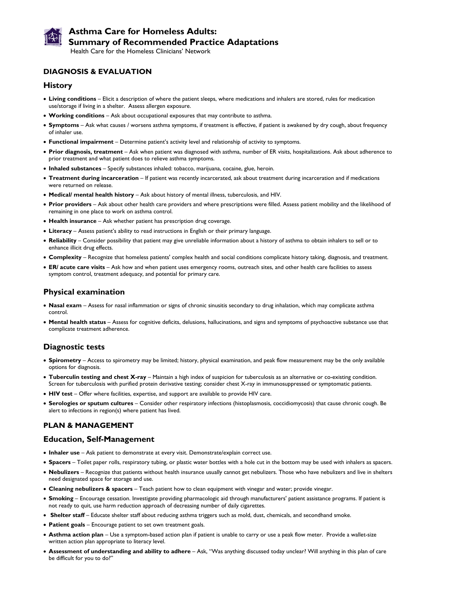

# **Asthma Care for Homeless Adults: Summary of Recommended Practice Adaptations**

Health Care for the Homeless Clinicians' Network

#### **DIAGNOSIS & EVALUATION**

#### **History**

- **Living conditions** Elicit a description of where the patient sleeps, where medications and inhalers are stored, rules for medication use/storage if living in a shelter. Assess allergen exposure.
- **Working conditions** Ask about occupational exposures that may contribute to asthma.
- **Symptoms** Ask what causes / worsens asthma symptoms, if treatment is effective, if patient is awakened by dry cough, about frequency of inhaler use.
- **Functional impairment** Determine patient's activity level and relationship of activity to symptoms.
- **Prior diagnosis, treatment**  Ask when patient was diagnosed with asthma, number of ER visits, hospitalizations. Ask about adherence to prior treatment and what patient does to relieve asthma symptoms.
- **Inhaled substances** Specify substances inhaled: tobacco, marijuana, cocaine, glue, heroin.
- **Treatment during incarceration** If patient was recently incarcerated, ask about treatment during incarceration and if medications were returned on release.
- **Medical/ mental health history** Ask about history of mental illness, tuberculosis, and HIV.
- **Prior providers** Ask about other health care providers and where prescriptions were filled. Assess patient mobility and the likelihood of remaining in one place to work on asthma control.
- **Health insurance** Ask whether patient has prescription drug coverage.
- **Literacy** Assess patient's ability to read instructions in English or their primary language.
- **Reliability** Consider possibility that patient may give unreliable information about a history of asthma to obtain inhalers to sell or to enhance illicit drug effects.
- **Complexity** Recognize that homeless patients' complex health and social conditions complicate history taking, diagnosis, and treatment.
- **ER/ acute care visits** Ask how and when patient uses emergency rooms, outreach sites, and other health care facilities to assess symptom control, treatment adequacy, and potential for primary care.

#### **Physical examination**

- **Nasal exam** Assess for nasal inflammation or signs of chronic sinusitis secondary to drug inhalation, which may complicate asthma control.
- **Mental health status** Assess for cognitive deficits, delusions, hallucinations, and signs and symptoms of psychoactive substance use that complicate treatment adherence.

#### **Diagnostic tests**

- **Spirometry**  Access to spirometry may be limited; history, physical examination, and peak flow measurement may be the only available options for diagnosis.
- **Tuberculin testing and chest X-ray** Maintain a high index of suspicion for tuberculosis as an alternative or co-existing condition. Screen for tuberculosis with purified protein derivative testing; consider chest X-ray in immunosuppressed or symptomatic patients.
- **HIV test** Offer where facilities, expertise, and support are available to provide HIV care.
- **Serologies or sputum cultures** Consider other respiratory infections (histoplasmosis, coccidiomycosis) that cause chronic cough. Be alert to infections in region(s) where patient has lived.

#### **PLAN & MANAGEMENT**

#### **Education, Self-Management**

- **Inhaler use** Ask patient to demonstrate at every visit. Demonstrate/explain correct use.
- **Spacers** Toilet paper rolls, respiratory tubing, or plastic water bottles with a hole cut in the bottom may be used with inhalers as spacers.
- **Nebulizers** Recognize that patients without health insurance usually cannot get nebulizers. Those who have nebulizers and live in shelters need designated space for storage and use.
- **Cleaning nebulizers & spacers** Teach patient how to clean equipment with vinegar and water; provide vinegar.
- **Smoking** Encourage cessation. Investigate providing pharmacologic aid through manufacturers' patient assistance programs. If patient is not ready to quit, use harm reduction approach of decreasing number of daily cigarettes.
- **Shelter staff** Educate shelter staff about reducing asthma triggers such as mold, dust, chemicals, and secondhand smoke.
- **Patient goals** Encourage patient to set own treatment goals.
- **Asthma action plan** Use a symptom-based action plan if patient is unable to carry or use a peak flow meter. Provide a wallet-size written action plan appropriate to literacy level.
- **Assessment of understanding and ability to adhere** Ask, "Was anything discussed today unclear? Will anything in this plan of care be difficult for you to do?"